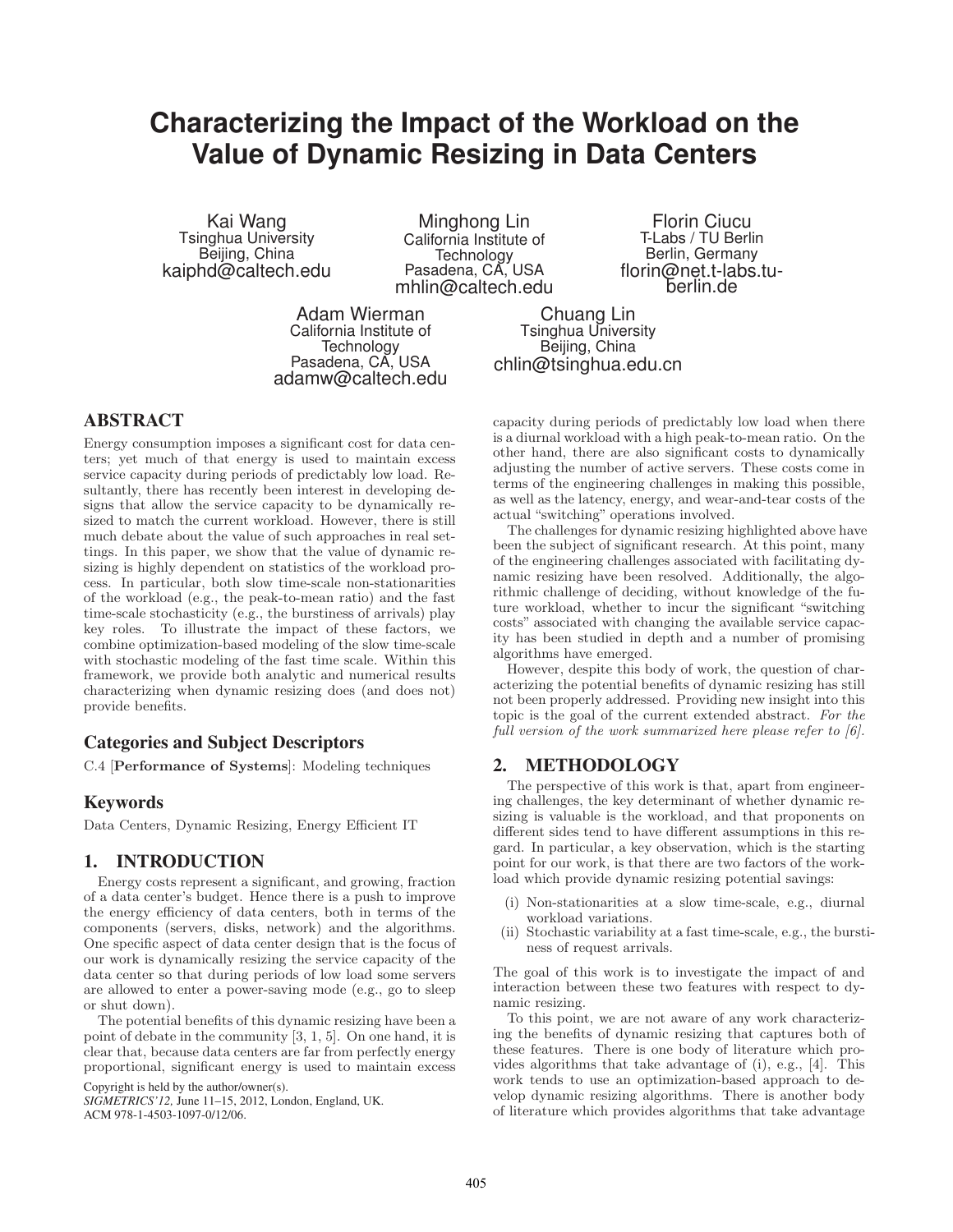# **Characterizing the Impact of the Workload on the Value of Dynamic Resizing in Data Centers**

Kai Wang Tsinghua University Beijing, China kaiphd@caltech.edu

Minghong Lin California Institute of **Technology** Pasadena, CĂ, USA mhlin@caltech.edu

Florin Ciucu T-Labs / TU Berlin Berlin, Germany florin@net.t-labs.tu- berlin.de

Adam Wierman California Institute of **Technology** Pasadena, CA, USA adamw@caltech.edu

## ABSTRACT

Energy consumption imposes a significant cost for data centers; yet much of that energy is used to maintain excess service capacity during periods of predictably low load. Resultantly, there has recently been interest in developing designs that allow the service capacity to be dynamically resized to match the current workload. However, there is still much debate about the value of such approaches in real settings. In this paper, we show that the value of dynamic resizing is highly dependent on statistics of the workload process. In particular, both slow time-scale non-stationarities of the workload (e.g., the peak-to-mean ratio) and the fast time-scale stochasticity (e.g., the burstiness of arrivals) play key roles. To illustrate the impact of these factors, we combine optimization-based modeling of the slow time-scale with stochastic modeling of the fast time scale. Within this framework, we provide both analytic and numerical results characterizing when dynamic resizing does (and does not) provide benefits.

## Categories and Subject Descriptors

C.4 [**Performance of Systems**]: Modeling techniques

### Keywords

Data Centers, Dynamic Resizing, Energy Efficient IT

### 1. INTRODUCTION

Energy costs represent a significant, and growing, fraction of a data center's budget. Hence there is a push to improve the energy efficiency of data centers, both in terms of the components (servers, disks, network) and the algorithms. One specific aspect of data center design that is the focus of our work is dynamically resizing the service capacity of the data center so that during periods of low load some servers are allowed to enter a power-saving mode (e.g., go to sleep or shut down).

The potential benefits of this dynamic resizing have been a point of debate in the community [3, 1, 5]. On one hand, it is clear that, because data centers are far from perfectly energy proportional, significant energy is used to maintain excess Copyright is held by the author/owner(s).

*SIGMETRICS'12,* June 11–15, 2012, London, England, UK. ACM 978-1-4503-1097-0/12/06.

Tsinghua University Beijing, China chlin@tsinghua.edu.cn

Chuang Lin

capacity during periods of predictably low load when there is a diurnal workload with a high peak-to-mean ratio. On the other hand, there are also significant costs to dynamically adjusting the number of active servers. These costs come in terms of the engineering challenges in making this possible, as well as the latency, energy, and wear-and-tear costs of the actual "switching" operations involved.

The challenges for dynamic resizing highlighted above have been the subject of significant research. At this point, many of the engineering challenges associated with facilitating dynamic resizing have been resolved. Additionally, the algorithmic challenge of deciding, without knowledge of the future workload, whether to incur the significant "switching costs" associated with changing the available service capacity has been studied in depth and a number of promising algorithms have emerged.

However, despite this body of work, the question of characterizing the potential benefits of dynamic resizing has still not been properly addressed. Providing new insight into this topic is the goal of the current extended abstract. For the full version of the work summarized here please refer to  $[6]$ .

### 2. METHODOLOGY

The perspective of this work is that, apart from engineering challenges, the key determinant of whether dynamic resizing is valuable is the workload, and that proponents on different sides tend to have different assumptions in this regard. In particular, a key observation, which is the starting point for our work, is that there are two factors of the workload which provide dynamic resizing potential savings:

- (i) Non-stationarities at a slow time-scale, e.g., diurnal workload variations.
- Stochastic variability at a fast time-scale, e.g., the burstiness of request arrivals.

The goal of this work is to investigate the impact of and interaction between these two features with respect to dynamic resizing.

To this point, we are not aware of any work characterizing the benefits of dynamic resizing that captures both of these features. There is one body of literature which provides algorithms that take advantage of (i), e.g., [4]. This work tends to use an optimization-based approach to develop dynamic resizing algorithms. There is another body of literature which provides algorithms that take advantage